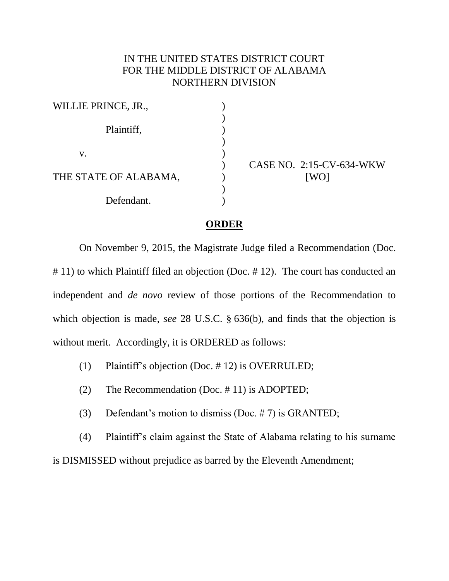## IN THE UNITED STATES DISTRICT COURT FOR THE MIDDLE DISTRICT OF ALABAMA NORTHERN DIVISION

| WILLIE PRINCE, JR.,   |  |
|-----------------------|--|
| Plaintiff,            |  |
| V.                    |  |
| THE STATE OF ALABAMA, |  |
| Defendant.            |  |

CASE NO. 2:15-CV-634-WKW [WO]

## **ORDER**

On November 9, 2015, the Magistrate Judge filed a Recommendation (Doc. # 11) to which Plaintiff filed an objection (Doc. # 12). The court has conducted an independent and *de novo* review of those portions of the Recommendation to which objection is made, *see* 28 U.S.C. § 636(b), and finds that the objection is without merit. Accordingly, it is ORDERED as follows:

- (1) Plaintiff's objection (Doc. # 12) is OVERRULED;
- (2) The Recommendation (Doc. # 11) is ADOPTED;
- (3) Defendant's motion to dismiss (Doc. # 7) is GRANTED;

(4) Plaintiff's claim against the State of Alabama relating to his surname is DISMISSED without prejudice as barred by the Eleventh Amendment;